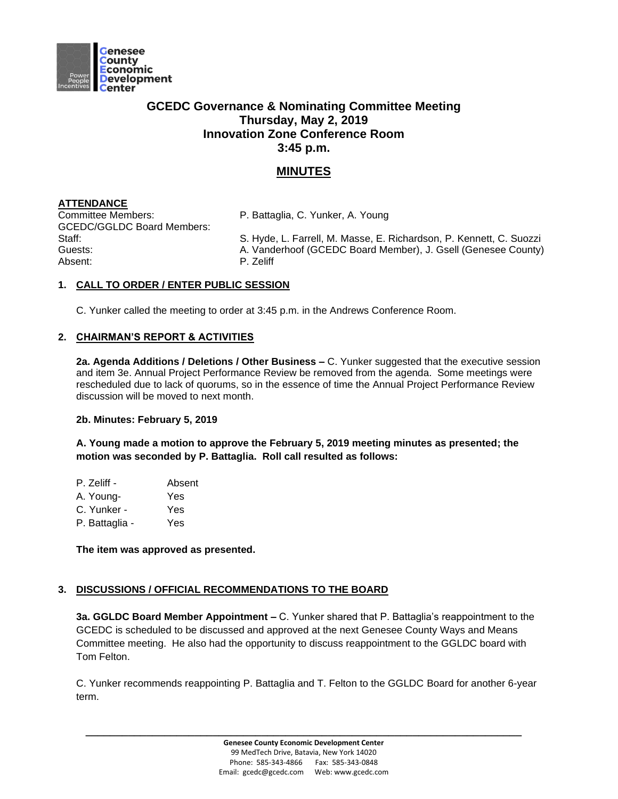

# **GCEDC Governance & Nominating Committee Meeting Thursday, May 2, 2019 Innovation Zone Conference Room 3:45 p.m.**

# **MINUTES**

# **ATTENDANCE**

Committee Members: P. Battaglia, C. Yunker, A. Young GCEDC/GGLDC Board Members: Absent: P. Zeliff

Staff: Staff: S. Hyde, L. Farrell, M. Masse, E. Richardson, P. Kennett, C. Suozzi Guests: A. Vanderhoof (GCEDC Board Member), J. Gsell (Genesee County)

### **1. CALL TO ORDER / ENTER PUBLIC SESSION**

C. Yunker called the meeting to order at 3:45 p.m. in the Andrews Conference Room.

## **2. CHAIRMAN'S REPORT & ACTIVITIES**

**2a. Agenda Additions / Deletions / Other Business –** C. Yunker suggested that the executive session and item 3e. Annual Project Performance Review be removed from the agenda. Some meetings were rescheduled due to lack of quorums, so in the essence of time the Annual Project Performance Review discussion will be moved to next month.

### **2b. Minutes: February 5, 2019**

**A. Young made a motion to approve the February 5, 2019 meeting minutes as presented; the motion was seconded by P. Battaglia. Roll call resulted as follows:**

| P. Zeliff - | Absent |
|-------------|--------|
|             |        |

- A. Young- Yes
- C. Yunker Yes
- P. Battaglia Yes

**The item was approved as presented.** 

### **3. DISCUSSIONS / OFFICIAL RECOMMENDATIONS TO THE BOARD**

**3a. GGLDC Board Member Appointment –** C. Yunker shared that P. Battaglia's reappointment to the GCEDC is scheduled to be discussed and approved at the next Genesee County Ways and Means Committee meeting. He also had the opportunity to discuss reappointment to the GGLDC board with Tom Felton.

C. Yunker recommends reappointing P. Battaglia and T. Felton to the GGLDC Board for another 6-year term.

**\_\_\_\_\_\_\_\_\_\_\_\_\_\_\_\_\_\_\_\_\_\_\_\_\_\_\_\_\_\_\_\_\_\_\_\_\_\_\_\_\_\_\_\_\_\_\_\_\_\_\_\_\_\_\_\_\_\_\_\_\_\_\_\_\_\_\_\_\_\_\_\_**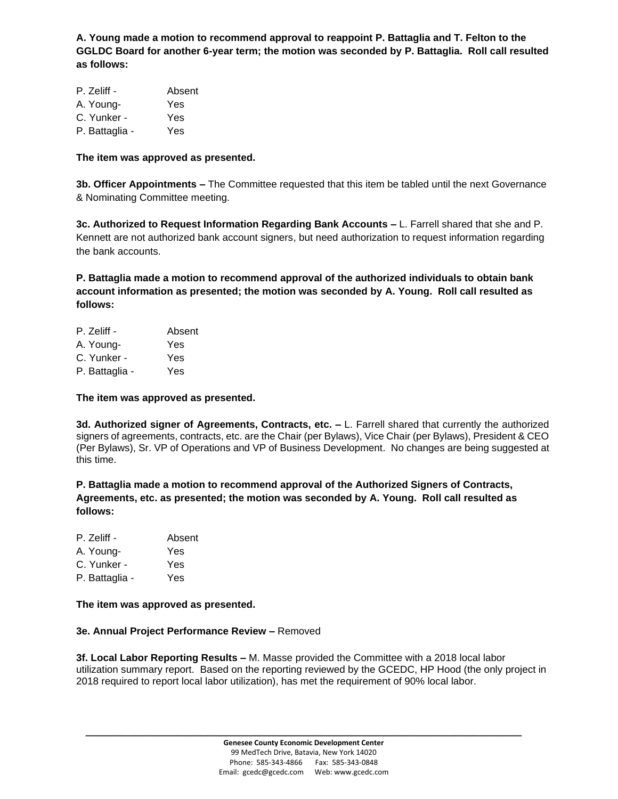**A. Young made a motion to recommend approval to reappoint P. Battaglia and T. Felton to the GGLDC Board for another 6-year term; the motion was seconded by P. Battaglia. Roll call resulted as follows:**

| P. Zeliff -    | Absent |
|----------------|--------|
| A. Young-      | Yes    |
| C. Yunker -    | Yes    |
| P. Battaglia - | Yes    |

#### **The item was approved as presented.**

**3b. Officer Appointments –** The Committee requested that this item be tabled until the next Governance & Nominating Committee meeting.

**3c. Authorized to Request Information Regarding Bank Accounts –** L. Farrell shared that she and P. Kennett are not authorized bank account signers, but need authorization to request information regarding the bank accounts.

**P. Battaglia made a motion to recommend approval of the authorized individuals to obtain bank account information as presented; the motion was seconded by A. Young. Roll call resulted as follows:**

| P. Zeliff -    | Absent |
|----------------|--------|
| A. Young-      | Yes    |
| C. Yunker -    | Yes    |
| P. Battaglia - | Yes    |

**The item was approved as presented.** 

**3d. Authorized signer of Agreements, Contracts, etc. –** L. Farrell shared that currently the authorized signers of agreements, contracts, etc. are the Chair (per Bylaws), Vice Chair (per Bylaws), President & CEO (Per Bylaws), Sr. VP of Operations and VP of Business Development. No changes are being suggested at this time.

**P. Battaglia made a motion to recommend approval of the Authorized Signers of Contracts, Agreements, etc. as presented; the motion was seconded by A. Young. Roll call resulted as follows:**

| P. Zeliff - | Absent |
|-------------|--------|
|             |        |

A. Young- Yes

C. Yunker - Yes

P. Battaglia - Yes

### **The item was approved as presented.**

#### **3e. Annual Project Performance Review –** Removed

**3f. Local Labor Reporting Results –** M. Masse provided the Committee with a 2018 local labor utilization summary report. Based on the reporting reviewed by the GCEDC, HP Hood (the only project in 2018 required to report local labor utilization), has met the requirement of 90% local labor.

**\_\_\_\_\_\_\_\_\_\_\_\_\_\_\_\_\_\_\_\_\_\_\_\_\_\_\_\_\_\_\_\_\_\_\_\_\_\_\_\_\_\_\_\_\_\_\_\_\_\_\_\_\_\_\_\_\_\_\_\_\_\_\_\_\_\_\_\_\_\_\_\_**